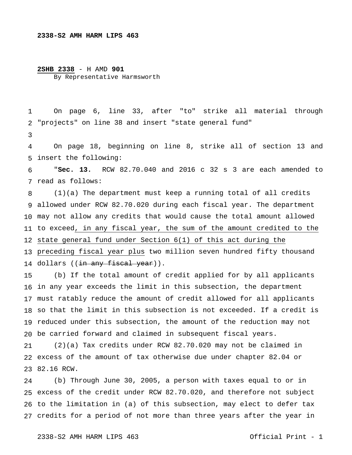## **2338-S2 AMH HARM LIPS 463**

## **2SHB 2338** - H AMD **901** By Representative Harmsworth

 On page 6, line 33, after "to" strike all material through "projects" on line 38 and insert "state general fund"

 insert the following: On page 18, beginning on line 8, strike all of section 13 and

 read as follows: "**Sec. 13.** RCW 82.70.040 and 2016 c 32 s 3 are each amended to

 allowed under RCW 82.70.020 during each fiscal year. The department may not allow any credits that would cause the total amount allowed to exceed, in any fiscal year, the sum of the amount credited to the state general fund under Section 6(1) of this act during the preceding fiscal year plus two million seven hundred fifty thousand 14 dollars ((<del>in any fiscal year</del>)).  $(1)(a)$  The department must keep a running total of all credits

 in any year exceeds the limit in this subsection, the department must ratably reduce the amount of credit allowed for all applicants so that the limit in this subsection is not exceeded. If a credit is reduced under this subsection, the amount of the reduction may not be carried forward and claimed in subsequent fiscal years. (b) If the total amount of credit applied for by all applicants

 excess of the amount of tax otherwise due under chapter 82.04 or 82.16 RCW. (2)(a) Tax credits under RCW 82.70.020 may not be claimed in

 excess of the credit under RCW 82.70.020, and therefore not subject to the limitation in (a) of this subsection, may elect to defer tax credits for a period of not more than three years after the year in (b) Through June 30, 2005, a person with taxes equal to or in